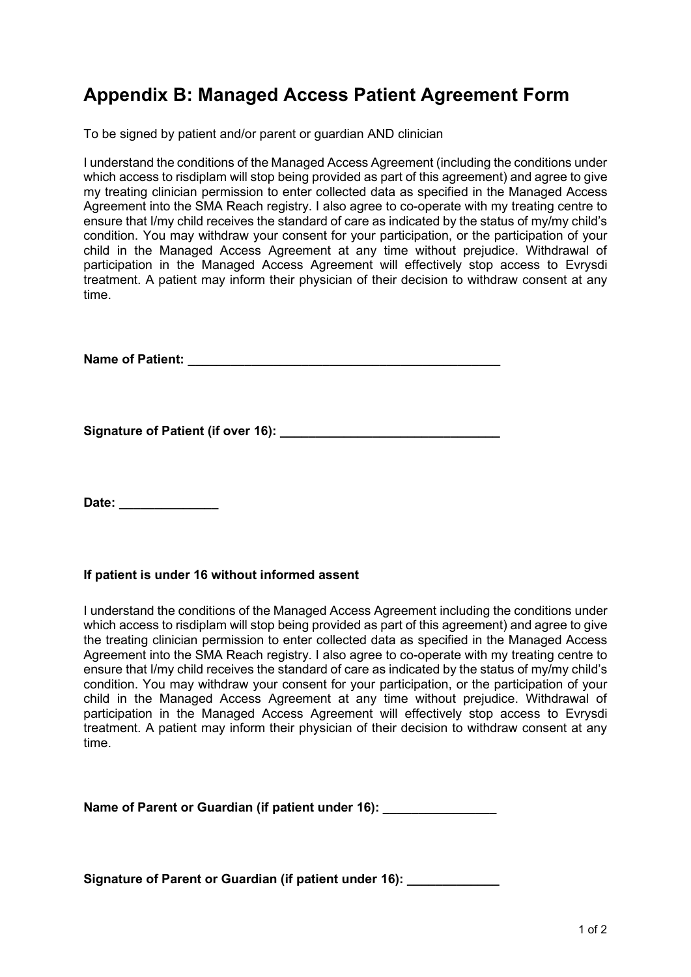## **Appendix B: Managed Access Patient Agreement Form**

To be signed by patient and/or parent or guardian AND clinician

I understand the conditions of the Managed Access Agreement (including the conditions under which access to risdiplam will stop being provided as part of this agreement) and agree to give my treating clinician permission to enter collected data as specified in the Managed Access Agreement into the SMA Reach registry. I also agree to co-operate with my treating centre to ensure that I/my child receives the standard of care as indicated by the status of my/my child's condition. You may withdraw your consent for your participation, or the participation of your child in the Managed Access Agreement at any time without prejudice. Withdrawal of participation in the Managed Access Agreement will effectively stop access to Evrysdi treatment. A patient may inform their physician of their decision to withdraw consent at any time.

**Name of Patient:**  $\blacksquare$ 

Signature of Patient (if over 16):

Date:

## **If patient is under 16 without informed assent**

I understand the conditions of the Managed Access Agreement including the conditions under which access to risdiplam will stop being provided as part of this agreement) and agree to give the treating clinician permission to enter collected data as specified in the Managed Access Agreement into the SMA Reach registry. I also agree to co-operate with my treating centre to ensure that I/my child receives the standard of care as indicated by the status of my/my child's condition. You may withdraw your consent for your participation, or the participation of your child in the Managed Access Agreement at any time without prejudice. Withdrawal of participation in the Managed Access Agreement will effectively stop access to Evrysdi treatment. A patient may inform their physician of their decision to withdraw consent at any time.

Name of Parent or Guardian (if patient under 16):

**Signature of Parent or Guardian (if patient under 16): \_\_\_\_\_\_\_\_\_\_\_\_\_**